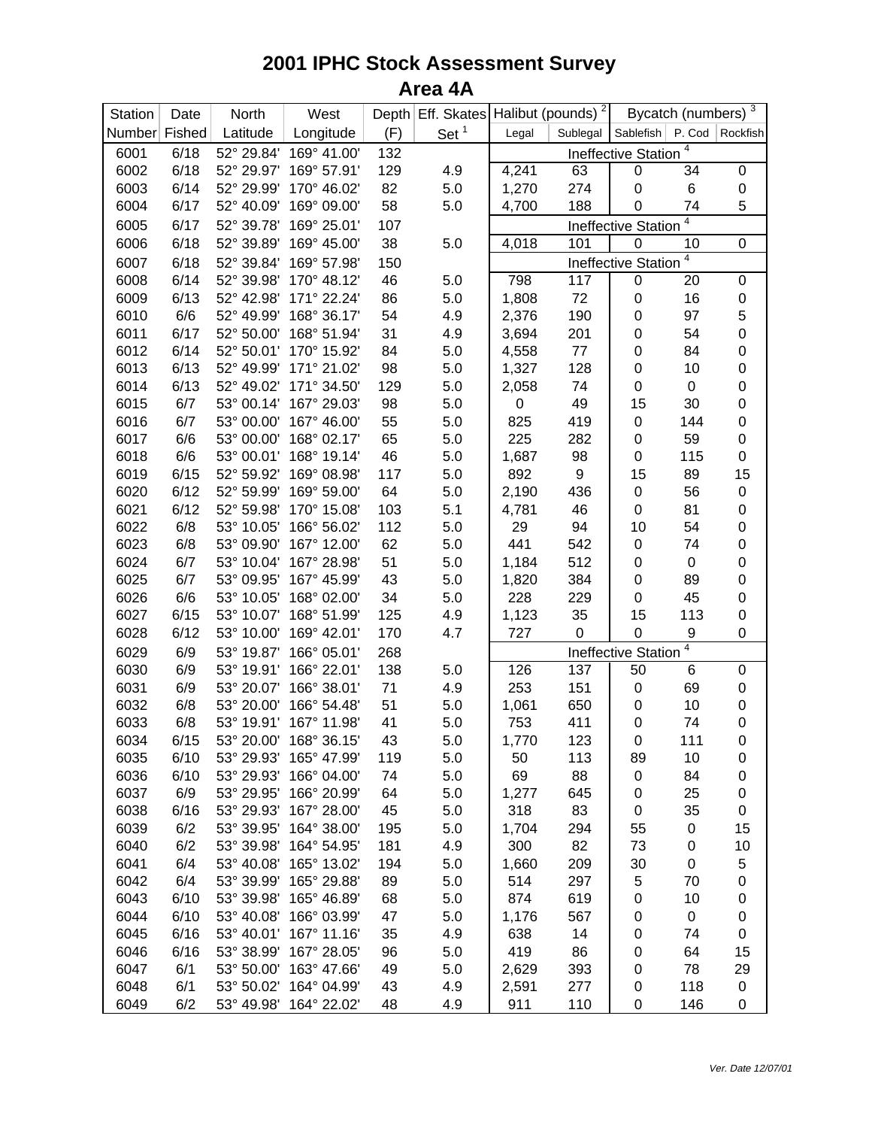## **2001 IPHC Stock Assessment Survey Area 4A**

| Station | Date   | North      | West                   |     | Depth Eff. Skates Halibut (pounds) <sup>2</sup> |       |          |                            | Bycatch (numbers) | $\mathbf{3}$      |
|---------|--------|------------|------------------------|-----|-------------------------------------------------|-------|----------|----------------------------|-------------------|-------------------|
| Number  | Fished | Latitude   | Longitude              | (F) | Set $1$                                         | Legal | Sublegal | Sablefish                  |                   | P. Cod   Rockfish |
| 6001    | 6/18   | 52° 29.84' | 169° 41.00'            | 132 |                                                 |       |          | <b>Ineffective Station</b> | 4                 |                   |
| 6002    | 6/18   | 52° 29.97' | 169° 57.91'            | 129 | 4.9                                             | 4,241 | 63       | $\pmb{0}$                  | 34                | $\pmb{0}$         |
| 6003    | 6/14   | 52° 29.99' | 170° 46.02'            | 82  | 5.0                                             | 1,270 | 274      | 0                          | 6                 | 0                 |
| 6004    | 6/17   | 52° 40.09' | 169° 09.00'            | 58  | 5.0                                             | 4,700 | 188      | 0                          | 74                | 5                 |
| 6005    | 6/17   | 52° 39.78' | 169° 25.01'            | 107 |                                                 |       |          | <b>Ineffective Station</b> | 4                 |                   |
| 6006    | 6/18   | 52° 39.89' | 169° 45.00'            | 38  | 5.0                                             | 4,018 | 101      | $\pmb{0}$                  | 10                | $\pmb{0}$         |
| 6007    | 6/18   | 52° 39.84' | 169° 57.98'            | 150 |                                                 |       |          | <b>Ineffective Station</b> | 4                 |                   |
| 6008    | 6/14   | 52° 39.98' | 170° 48.12'            | 46  | 5.0                                             | 798   | 117      | $\pmb{0}$                  | 20                | $\pmb{0}$         |
| 6009    | 6/13   | 52° 42.98' | 171° 22.24'            | 86  | 5.0                                             | 1,808 | 72       | $\pmb{0}$                  | 16                | 0                 |
| 6010    | 6/6    | 52° 49.99' | 168° 36.17'            | 54  | 4.9                                             | 2,376 | 190      | $\pmb{0}$                  | 97                | 5                 |
| 6011    | 6/17   | 52° 50.00' | 168° 51.94'            | 31  | 4.9                                             | 3,694 | 201      | $\pmb{0}$                  | 54                | $\pmb{0}$         |
| 6012    | 6/14   | 52° 50.01' | 170° 15.92'            | 84  | 5.0                                             | 4,558 | 77       | $\pmb{0}$                  | 84                | 0                 |
| 6013    | 6/13   | 52° 49.99' | 171° 21.02'            | 98  | 5.0                                             | 1,327 | 128      | $\pmb{0}$                  | 10                | 0                 |
| 6014    | 6/13   | 52° 49.02' | 171° 34.50'            | 129 | 5.0                                             | 2,058 | 74       | $\pmb{0}$                  | $\boldsymbol{0}$  | 0                 |
| 6015    | 6/7    | 53° 00.14' | 167° 29.03'            | 98  | 5.0                                             | 0     | 49       | 15                         | 30                | $\mathbf 0$       |
| 6016    | 6/7    | 53° 00.00' | 167° 46.00'            | 55  | 5.0                                             | 825   | 419      | $\pmb{0}$                  | 144               | $\pmb{0}$         |
| 6017    | 6/6    | 53° 00.00' | 168° 02.17'            | 65  | 5.0                                             | 225   | 282      | 0                          | 59                | $\mathbf 0$       |
| 6018    | 6/6    | 53° 00.01' | 168° 19.14'            | 46  | 5.0                                             | 1,687 | 98       | 0                          | 115               | 0                 |
| 6019    | 6/15   | 52° 59.92' | 169° 08.98'            | 117 | 5.0                                             | 892   | 9        | 15                         | 89                | 15                |
| 6020    | 6/12   | 52° 59.99' | 169° 59.00'            | 64  | 5.0                                             | 2,190 | 436      | $\pmb{0}$                  | 56                | $\pmb{0}$         |
| 6021    | 6/12   | 52° 59.98' | 170° 15.08'            | 103 | 5.1                                             | 4,781 | 46       | $\pmb{0}$                  | 81                | 0                 |
| 6022    | 6/8    | 53° 10.05' | 166° 56.02'            | 112 | 5.0                                             | 29    | 94       | 10                         | 54                | $\pmb{0}$         |
| 6023    | 6/8    | 53° 09.90' | 167° 12.00'            | 62  | 5.0                                             | 441   | 542      | $\pmb{0}$                  | 74                | $\mathbf 0$       |
| 6024    | 6/7    | 53° 10.04' | 167° 28.98'            | 51  | 5.0                                             | 1,184 | 512      | $\pmb{0}$                  | $\pmb{0}$         | $\mathbf 0$       |
| 6025    | 6/7    | 53° 09.95' | 167° 45.99'            | 43  | 5.0                                             | 1,820 | 384      | $\pmb{0}$                  | 89                | $\mathbf 0$       |
| 6026    | 6/6    | 53° 10.05' | 168° 02.00'            | 34  | 5.0                                             | 228   | 229      | $\pmb{0}$                  | 45                | $\mathbf 0$       |
| 6027    | 6/15   | 53° 10.07' | 168° 51.99'            | 125 | 4.9                                             | 1,123 | 35       | 15                         | 113               | $\pmb{0}$         |
| 6028    | 6/12   | 53° 10.00' | 169° 42.01'            | 170 | 4.7                                             | 727   | 0        | $\pmb{0}$                  | 9                 | $\boldsymbol{0}$  |
| 6029    | 6/9    | 53° 19.87' | 166° 05.01'            | 268 |                                                 |       |          | <b>Ineffective Station</b> | 4                 |                   |
| 6030    | 6/9    | 53° 19.91' | 166° 22.01'            | 138 | 5.0                                             | 126   | 137      | 50                         | 6                 | 0                 |
| 6031    | 6/9    | 53° 20.07' | 166° 38.01'            | 71  | 4.9                                             | 253   | 151      | $\pmb{0}$                  | 69                | $\pmb{0}$         |
| 6032    | 6/8    | 53° 20.00' | 166° 54.48'            | 51  | 5.0                                             | 1,061 | 650      | $\pmb{0}$                  | 10                | 0                 |
| 6033    | 6/8    | 53° 19.91' | 167° 11.98'            | 41  | 5.0                                             | 753   | 411      | 0                          | 74                | $\pmb{0}$         |
| 6034    | 6/15   |            | 53° 20.00' 168° 36.15' | 43  | 5.0                                             | 1,770 | 123      | $\pmb{0}$                  | 111               | $\pmb{0}$         |
| 6035    | 6/10   | 53° 29.93' | 165° 47.99'            | 119 | 5.0                                             | 50    | 113      | 89                         | 10                | 0                 |
| 6036    | 6/10   | 53° 29.93' | 166° 04.00'            | 74  | 5.0                                             | 69    | 88       | 0                          | 84                | 0                 |
| 6037    | 6/9    | 53° 29.95' | 166° 20.99'            | 64  | 5.0                                             | 1,277 | 645      | $\pmb{0}$                  | 25                | 0                 |
| 6038    | 6/16   | 53° 29.93' | 167° 28.00'            | 45  | 5.0                                             | 318   | 83       | 0                          | 35                | 0                 |
| 6039    | 6/2    | 53° 39.95' | 164° 38.00'            | 195 | 5.0                                             | 1,704 | 294      | 55                         | 0                 | 15                |
| 6040    | 6/2    | 53° 39.98' | 164° 54.95'            | 181 | 4.9                                             | 300   | 82       | 73                         | 0                 | 10                |
| 6041    | 6/4    | 53° 40.08' | 165° 13.02'            | 194 | 5.0                                             | 1,660 | 209      | 30                         | 0                 | 5                 |
| 6042    | 6/4    | 53° 39.99' | 165° 29.88'            | 89  | 5.0                                             | 514   | 297      | 5                          | 70                | 0                 |
| 6043    | 6/10   | 53° 39.98' | 165° 46.89'            | 68  | 5.0                                             | 874   | 619      | $\pmb{0}$                  | 10                | 0                 |
| 6044    | 6/10   | 53° 40.08' | 166° 03.99'            | 47  | 5.0                                             | 1,176 | 567      | $\mathbf 0$                | $\pmb{0}$         | 0                 |
| 6045    | 6/16   | 53° 40.01' | 167° 11.16'            | 35  | 4.9                                             | 638   | 14       | $\pmb{0}$                  | 74                | 0                 |
| 6046    | 6/16   | 53° 38.99' | 167° 28.05'            | 96  | 5.0                                             | 419   | 86       | $\pmb{0}$                  | 64                | 15                |
| 6047    | 6/1    | 53° 50.00' | 163° 47.66'            | 49  | 5.0                                             | 2,629 | 393      | $\pmb{0}$                  | 78                | 29                |
| 6048    | 6/1    | 53° 50.02' | 164° 04.99'            | 43  | 4.9                                             | 2,591 | 277      | $\pmb{0}$                  | 118               | 0                 |
| 6049    | 6/2    | 53° 49.98' | 164° 22.02'            | 48  | 4.9                                             | 911   | 110      | 0                          | 146               | 0                 |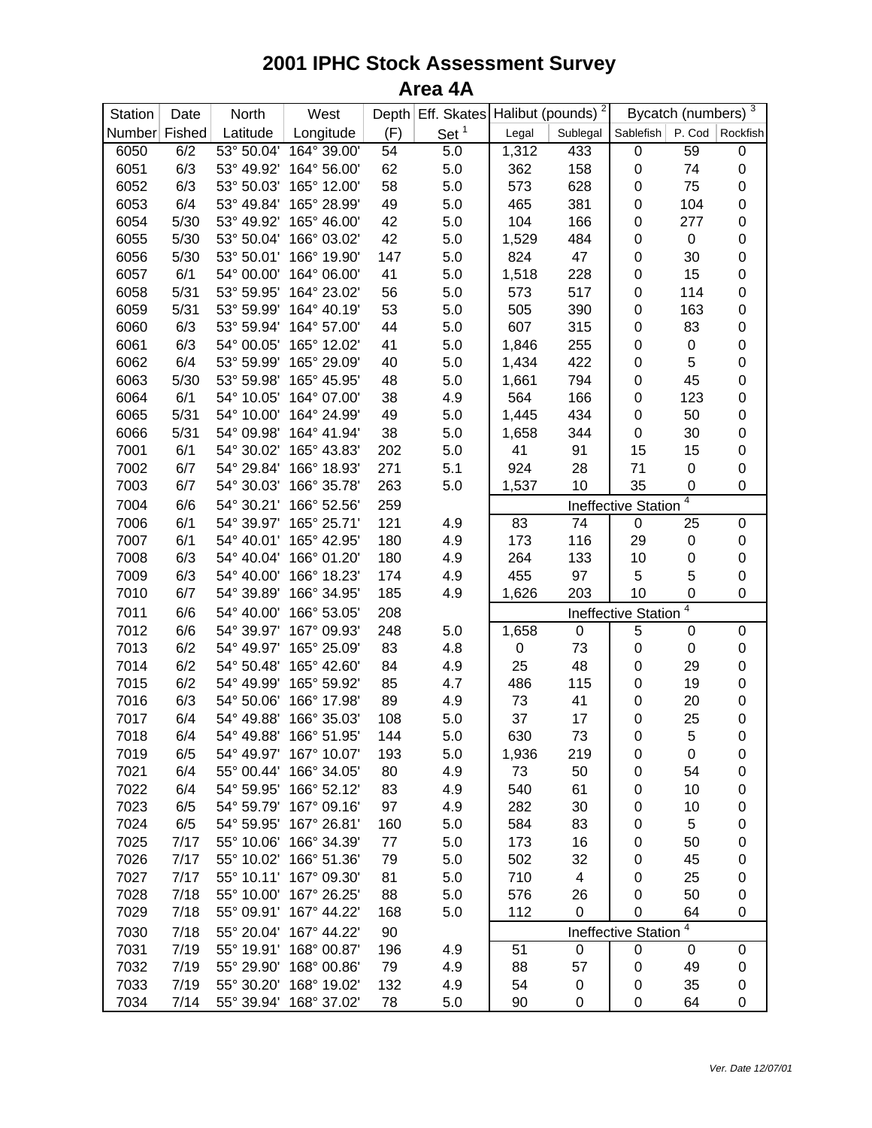## **2001 IPHC Stock Assessment Survey Area 4A**

| Station       | Date | North      | West        |      | Depth Eff. Skates |                          | Halibut (pounds) <sup>2</sup> |                     | Bycatch (numbers) | $\mathbf{3}$ |
|---------------|------|------------|-------------|------|-------------------|--------------------------|-------------------------------|---------------------|-------------------|--------------|
| Number Fished |      | Latitude   | Longitude   | (F)  | Set $1$           | Legal                    | Sublegal                      | Sablefish           | P. Cod            | Rockfish     |
| 6050          | 6/2  | 53° 50.04' | 164° 39.00' | 54   | 5.0               | 1,312                    | 433                           | $\mathbf 0$         | 59                | $\pmb{0}$    |
| 6051          | 6/3  | 53° 49.92' | 164° 56.00' | 62   | 5.0               | 362                      | 158                           | $\pmb{0}$           | 74                | $\pmb{0}$    |
| 6052          | 6/3  | 53° 50.03' | 165° 12.00' | 58   | 5.0               | 573                      | 628                           | 0                   | 75                | $\pmb{0}$    |
| 6053          | 6/4  | 53° 49.84' | 165° 28.99' | 49   | 5.0               | 465                      | 381                           | 0                   | 104               | 0            |
| 6054          | 5/30 | 53° 49.92' | 165° 46.00' | 42   | 5.0               | 104                      | 166                           | 0                   | 277               | 0            |
| 6055          | 5/30 | 53° 50.04' | 166° 03.02' | 42   | 5.0               | 1,529                    | 484                           | 0                   | $\pmb{0}$         | 0            |
| 6056          | 5/30 | 53° 50.01' | 166° 19.90' | 147  | 5.0               | 824                      | 47                            | $\pmb{0}$           | 30                | $\pmb{0}$    |
| 6057          | 6/1  | 54° 00.00' | 164° 06.00' | 41   | 5.0               | 1,518                    | 228                           | $\pmb{0}$           | 15                | 0            |
| 6058          | 5/31 | 53° 59.95' | 164° 23.02' | 56   | 5.0               | 573                      | 517                           | $\pmb{0}$           | 114               | 0            |
| 6059          | 5/31 | 53° 59.99' | 164° 40.19' | 53   | 5.0               | 505                      | 390                           | $\pmb{0}$           | 163               | 0            |
| 6060          | 6/3  | 53° 59.94' | 164° 57.00' | 44   | 5.0               | 607                      | 315                           | $\pmb{0}$           | 83                | $\pmb{0}$    |
| 6061          | 6/3  | 54° 00.05' | 165° 12.02' | 41   | 5.0               | 1,846                    | 255                           | $\pmb{0}$           | $\pmb{0}$         | 0            |
| 6062          | 6/4  | 53° 59.99' | 165° 29.09' | 40   | 5.0               | 1,434                    | 422                           | $\pmb{0}$           | 5                 | $\pmb{0}$    |
| 6063          | 5/30 | 53° 59.98' | 165° 45.95' | 48   | 5.0               | 1,661                    | 794                           | $\pmb{0}$           | 45                | 0            |
| 6064          | 6/1  | 54° 10.05' | 164° 07.00' | 38   | 4.9               | 564                      | 166                           | $\pmb{0}$           | 123               | 0            |
| 6065          | 5/31 | 54° 10.00' | 164° 24.99' | 49   | 5.0               | 1,445                    | 434                           | 0                   | 50                | 0            |
| 6066          | 5/31 | 54° 09.98' | 164° 41.94' | 38   | 5.0               | 1,658                    | 344                           | $\pmb{0}$           | 30                | 0            |
| 7001          | 6/1  | 54° 30.02' | 165° 43.83' | 202  | 5.0               | 41                       | 91                            | 15                  | 15                | $\pmb{0}$    |
| 7002          | 6/7  | 54° 29.84' | 166° 18.93' | 271  | 5.1               | 924                      | 28                            | 71                  | $\pmb{0}$         | $\pmb{0}$    |
| 7003          | 6/7  | 54° 30.03' | 166° 35.78' | 263  | 5.0               | 1,537                    | 10                            | 35                  | $\mathbf 0$       | 0            |
| 7004          | 6/6  | 54° 30.21' | 166° 52.56' | 259  |                   | 4<br>Ineffective Station |                               |                     |                   |              |
| 7006          | 6/1  | 54° 39.97' | 165° 25.71' | 121  | 4.9               | 83                       | 74                            | 0                   | 25                | $\pmb{0}$    |
| 7007          | 6/1  | 54° 40.01' | 165° 42.95' | 180  | 4.9               | 173                      | 116                           | 29                  | 0                 | $\pmb{0}$    |
| 7008          | 6/3  | 54° 40.04' | 166° 01.20' | 180  | 4.9               | 264                      | 133                           | 10                  | $\pmb{0}$         | 0            |
| 7009          | 6/3  | 54° 40.00' | 166° 18.23' | 174  | 4.9               | 455                      | 97                            | 5                   | 5                 | 0            |
| 7010          | 6/7  | 54° 39.89' | 166° 34.95' | 185  | 4.9               | 1,626                    | 203                           | 10                  | 0                 | 0            |
| 7011          | 6/6  | 54° 40.00' | 166° 53.05' | 208  |                   | 4<br>Ineffective Station |                               |                     |                   |              |
| 7012          | 6/6  | 54° 39.97' | 167° 09.93' | 248  | 5.0               | 1,658                    | 0                             | 5                   | $\boldsymbol{0}$  | $\pmb{0}$    |
| 7013          | 6/2  | 54° 49.97' | 165° 25.09' | 83   | 4.8               | $\pmb{0}$                | 73                            | 0                   | $\pmb{0}$         | 0            |
| 7014          | 6/2  | 54° 50.48' | 165° 42.60' | 84   | 4.9               | 25                       | 48                            | $\pmb{0}$           | 29                | 0            |
| 7015          | 6/2  | 54° 49.99' | 165° 59.92' | 85   | 4.7               | 486                      | 115                           | 0                   | 19                | 0            |
| 7016          | 6/3  | 54° 50.06' | 166° 17.98' | 89   | 4.9               | 73                       | 41                            | $\pmb{0}$           | 20                | $\mathbf 0$  |
| 7017          | 6/4  | 54° 49.88' | 166° 35.03' | 108  | 5.0               | 37                       | 17                            | 0                   | 25                | $\mathbf 0$  |
| 7018          | 6/4  | 54° 49.88' | 166° 51.95' | 144  | 5.0               | 630                      | 73                            | $\mathbf 0$         | 5                 | 0            |
| 7019          | 6/5  | 54° 49.97' | 167° 10.07' | 193  | 5.0               | 1,936                    | 219                           | 0                   | 0                 | 0            |
| 7021          | 6/4  | 55° 00.44' | 166° 34.05' | 80   | 4.9               | 73                       | 50                            | 0                   | 54                | 0            |
| 7022          | 6/4  | 54° 59.95' | 166° 52.12' | 83   | 4.9               | 540                      | 61                            | 0                   | 10                | 0            |
| 7023          | 6/5  | 54° 59.79' | 167° 09.16' | 97   | 4.9               | 282                      | 30                            | 0                   | 10                | 0            |
| 7024          | 6/5  | 54° 59.95' | 167° 26.81' | 160  | 5.0               | 584                      | 83                            | 0                   | 5                 | 0            |
| 7025          | 7/17 | 55° 10.06' | 166° 34.39' | $77$ | 5.0               | 173                      | 16                            | 0                   | 50                | 0            |
| 7026          | 7/17 | 55° 10.02' | 166° 51.36' | 79   | 5.0               | 502                      | 32                            | 0                   | 45                | 0            |
| 7027          | 7/17 | 55° 10.11' | 167° 09.30' | 81   | 5.0               | 710                      | 4                             | 0                   | 25                | 0            |
| 7028          | 7/18 | 55° 10.00' | 167° 26.25' | 88   | 5.0               | 576                      | 26                            | 0                   | 50                | 0            |
| 7029          | 7/18 | 55° 09.91' | 167° 44.22' | 168  | 5.0               | 112                      | $\boldsymbol{0}$              | 0                   | 64                | 0            |
| 7030          | 7/18 | 55° 20.04' | 167° 44.22' | 90   |                   |                          |                               | Ineffective Station | 4                 |              |
| 7031          | 7/19 | 55° 19.91' | 168° 00.87' | 196  | 4.9               | 51                       | 0                             | 0                   | 0                 | $\pmb{0}$    |
| 7032          | 7/19 | 55° 29.90' | 168° 00.86' | 79   | 4.9               | 88                       | 57                            | 0                   | 49                | 0            |
| 7033          | 7/19 | 55° 30.20' | 168° 19.02' | 132  | 4.9               | 54                       | 0                             | 0                   | 35                | 0            |
| 7034          | 7/14 | 55° 39.94' | 168° 37.02' | 78   | 5.0               | 90                       | 0                             | 0                   | 64                | 0            |